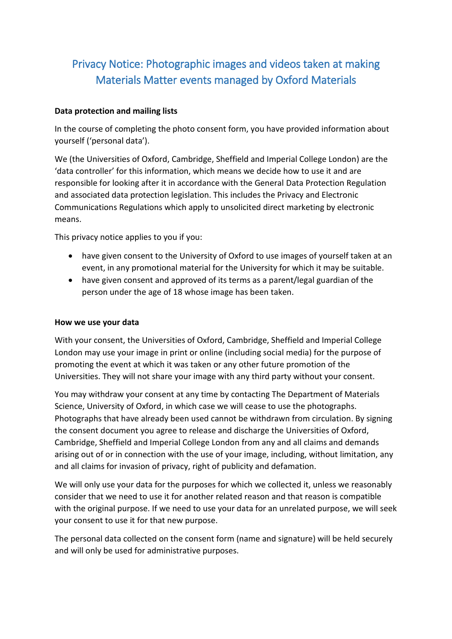# Privacy Notice: Photographic images and videos taken at making Materials Matter events managed by Oxford Materials

## **Data protection and mailing lists**

In the course of completing the photo consent form, you have provided information about yourself ('personal data').

We (the Universities of Oxford, Cambridge, Sheffield and Imperial College London) are the 'data controller' for this information, which means we decide how to use it and are responsible for looking after it in accordance with the General Data Protection Regulation and associated data protection legislation. This includes the Privacy and Electronic Communications Regulations which apply to unsolicited direct marketing by electronic means.

This privacy notice applies to you if you:

- have given consent to the University of Oxford to use images of yourself taken at an event, in any promotional material for the University for which it may be suitable.
- have given consent and approved of its terms as a parent/legal guardian of the person under the age of 18 whose image has been taken.

### **How we use your data**

With your consent, the Universities of Oxford, Cambridge, Sheffield and Imperial College London may use your image in print or online (including social media) for the purpose of promoting the event at which it was taken or any other future promotion of the Universities. They will not share your image with any third party without your consent.

You may withdraw your consent at any time by contacting The Department of Materials Science, University of Oxford, in which case we will cease to use the photographs. Photographs that have already been used cannot be withdrawn from circulation. By signing the consent document you agree to release and discharge the Universities of Oxford, Cambridge, Sheffield and Imperial College London from any and all claims and demands arising out of or in connection with the use of your image, including, without limitation, any and all claims for invasion of privacy, right of publicity and defamation.

We will only use your data for the purposes for which we collected it, unless we reasonably consider that we need to use it for another related reason and that reason is compatible with the original purpose. If we need to use your data for an unrelated purpose, we will seek your consent to use it for that new purpose.

The personal data collected on the consent form (name and signature) will be held securely and will only be used for administrative purposes.